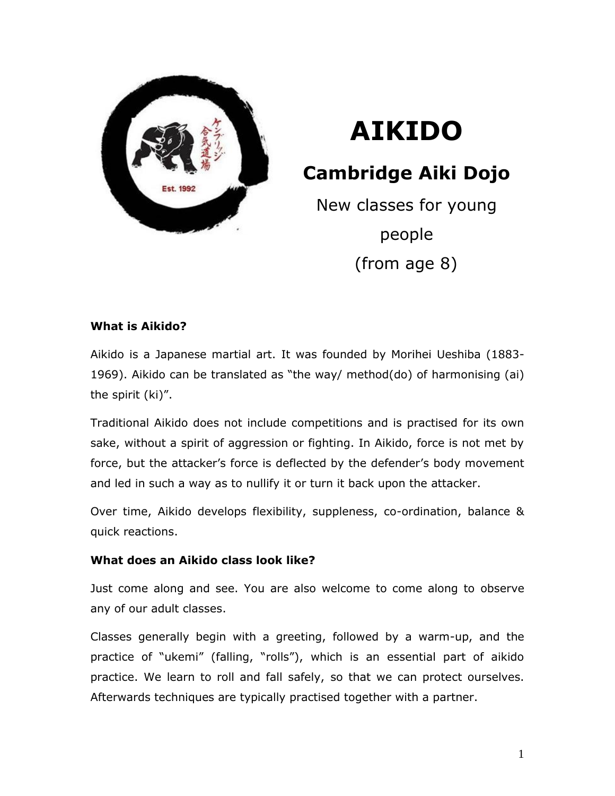

# **AIKIDO**

**Cambridge Aiki Dojo**

New classes for young people (from age 8)

### **What is Aikido?**

Aikido is a Japanese martial art. It was founded by Morihei Ueshiba (1883- 1969). Aikido can be translated as "the way/ method(do) of harmonising (ai) the spirit (ki)".

Traditional Aikido does not include competitions and is practised for its own sake, without a spirit of aggression or fighting. In Aikido, force is not met by force, but the attacker's force is deflected by the defender's body movement and led in such a way as to nullify it or turn it back upon the attacker.

Over time, Aikido develops flexibility, suppleness, co-ordination, balance & quick reactions.

### **What does an Aikido class look like?**

Just come along and see. You are also welcome to come along to observe any of our adult classes.

Classes generally begin with a greeting, followed by a warm-up, and the practice of "ukemi" (falling, "rolls"), which is an essential part of aikido practice. We learn to roll and fall safely, so that we can protect ourselves. Afterwards techniques are typically practised together with a partner.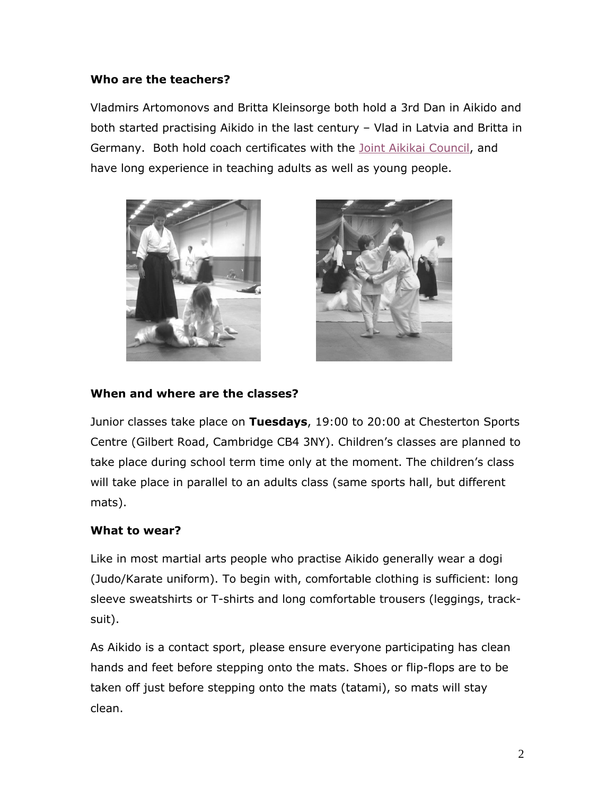## **Who are the teachers?**

Vladmirs Artomonovs and Britta Kleinsorge both hold a 3rd Dan in Aikido and both started practising Aikido in the last century – Vlad in Latvia and Britta in Germany. Both hold coach certificates with the [Joint Aikikai Council,](http://jointaikikaicouncil.co.uk/) and have long experience in teaching adults as well as young people.





## **When and where are the classes?**

Junior classes take place on **Tuesdays**, 19:00 to 20:00 at Chesterton Sports Centre (Gilbert Road, Cambridge CB4 3NY). Children's classes are planned to take place during school term time only at the moment. The children's class will take place in parallel to an adults class (same sports hall, but different mats).

### **What to wear?**

Like in most martial arts people who practise Aikido generally wear a dogi (Judo/Karate uniform). To begin with, comfortable clothing is sufficient: long sleeve sweatshirts or T-shirts and long comfortable trousers (leggings, tracksuit).

As Aikido is a contact sport, please ensure everyone participating has clean hands and feet before stepping onto the mats. Shoes or flip-flops are to be taken off just before stepping onto the mats (tatami), so mats will stay clean.